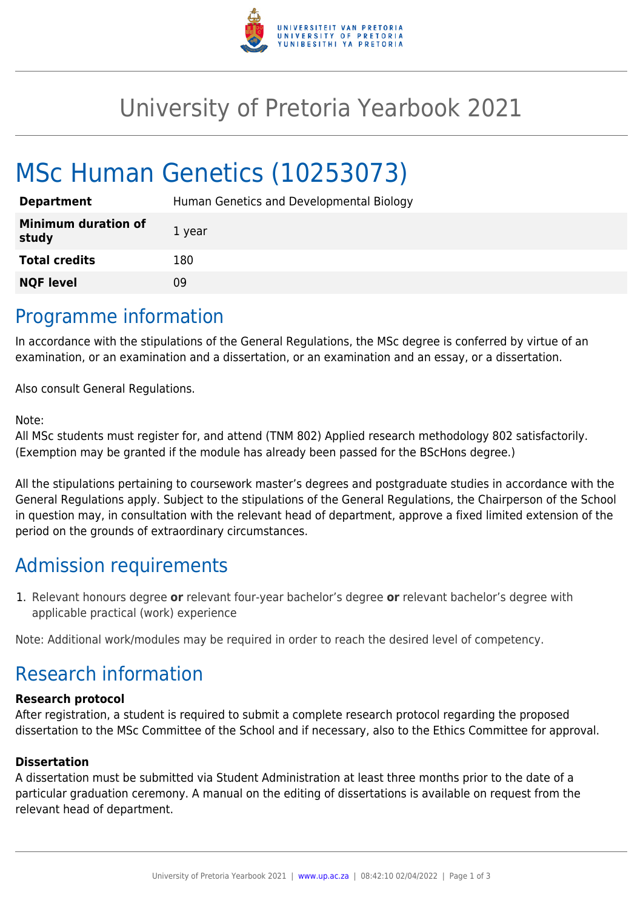

## University of Pretoria Yearbook 2021

# MSc Human Genetics (10253073)

| <b>Department</b>                   | Human Genetics and Developmental Biology |
|-------------------------------------|------------------------------------------|
| <b>Minimum duration of</b><br>study | 1 year                                   |
| <b>Total credits</b>                | 180                                      |
| <b>NQF level</b>                    | 09                                       |

### Programme information

In accordance with the stipulations of the General Regulations, the MSc degree is conferred by virtue of an examination, or an examination and a dissertation, or an examination and an essay, or a dissertation.

Also consult General Regulations.

#### Note:

All MSc students must register for, and attend (TNM 802) Applied research methodology 802 satisfactorily. (Exemption may be granted if the module has already been passed for the BScHons degree.)

All the stipulations pertaining to coursework master's degrees and postgraduate studies in accordance with the General Regulations apply. Subject to the stipulations of the General Regulations, the Chairperson of the School in question may, in consultation with the relevant head of department, approve a fixed limited extension of the period on the grounds of extraordinary circumstances.

### Admission requirements

1. Relevant honours degree **or** relevant four-year bachelor's degree **or** relevant bachelor's degree with applicable practical (work) experience

Note: Additional work/modules may be required in order to reach the desired level of competency.

### Research information

#### **Research protocol**

After registration, a student is required to submit a complete research protocol regarding the proposed dissertation to the MSc Committee of the School and if necessary, also to the Ethics Committee for approval.

#### **Dissertation**

A dissertation must be submitted via Student Administration at least three months prior to the date of a particular graduation ceremony. A manual on the editing of dissertations is available on request from the relevant head of department.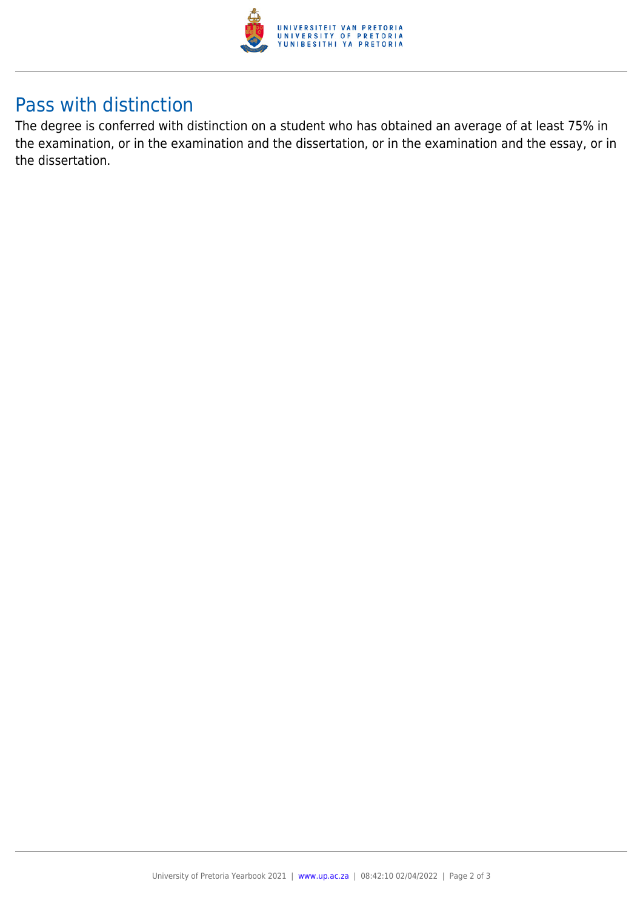

### Pass with distinction

The degree is conferred with distinction on a student who has obtained an average of at least 75% in the examination, or in the examination and the dissertation, or in the examination and the essay, or in the dissertation.